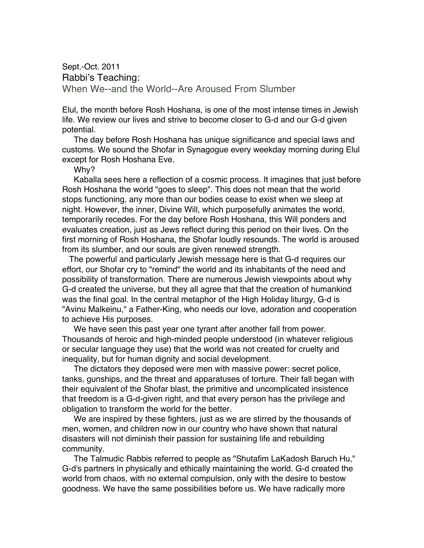Sept.-Oct. 2011 Rabbi's Teaching: When We--and the World--Are Aroused From Slumber

Elul, the month before Rosh Hoshana, is one of the most intense times in Jewish life. We review our lives and strive to become closer to G-d and our G-d given potential.

The day before Rosh Hoshana has unique significance and special laws and customs. We sound the Shofar in Synagogue every weekday morning during Elul except for Rosh Hoshana Eve.

Why?

Kaballa sees here a reflection of a cosmic process. It imagines that just before Rosh Hoshana the world "goes to sleep". This does not mean that the world stops functioning, any more than our bodies cease to exist when we sleep at night. However, the inner, Divine Will, which purposefully animates the world, temporarily recedes. For the day before Rosh Hoshana, this Will ponders and evaluates creation, just as Jews reflect during this period on their lives. On the first morning of Rosh Hoshana, the Shofar loudly resounds. The world is aroused from its slumber, and our souls are given renewed strength.

The powerful and particularly Jewish message here is that G-d requires our effort, our Shofar cry to "remind" the world and its inhabitants of the need and possibility of transformation. There are numerous Jewish viewpoints about why G-d created the universe, but they all agree that that the creation of humankind was the final goal. In the central metaphor of the High Holiday liturgy, G-d is "Avinu Malkeinu," a Father-King, who needs our love, adoration and cooperation to achieve His purposes.

We have seen this past year one tyrant after another fall from power. Thousands of heroic and high-minded people understood (in whatever religious or secular language they use) that the world was not created for cruelty and inequality, but for human dignity and social development.

The dictators they deposed were men with massive power: secret police, tanks, gunships, and the threat and apparatuses of torture. Their fall began with their equivalent of the Shofar blast, the primitive and uncomplicated insistence that freedom is a G-d-given right, and that every person has the privilege and obligation to transform the world for the better.

We are inspired by these fighters, just as we are stirred by the thousands of men, women, and children now in our country who have shown that natural disasters will not diminish their passion for sustaining life and rebuilding community.

The Talmudic Rabbis referred to people as "Shutafim LaKadosh Baruch Hu," G-d's partners in physically and ethically maintaining the world. G-d created the world from chaos, with no external compulsion, only with the desire to bestow goodness. We have the same possibilities before us. We have radically more